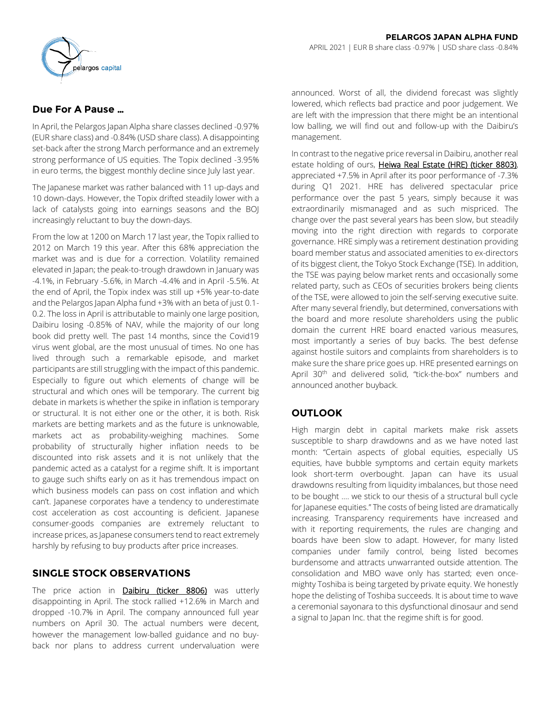# **Due For A Pause …**

In April, the Pelargos Japan Alpha share classes declined -0.97% (EUR share class) and -0.84% (USD share class). A disappointing set-back after the strong March performance and an extremely strong performance of US equities. The Topix declined -3.95% in euro terms, the biggest monthly decline since July last year.

The Japanese market was rather balanced with 11 up-days and 10 down-days. However, the Topix drifted steadily lower with a lack of catalysts going into earnings seasons and the BOJ increasingly reluctant to buy the down-days.

From the low at 1200 on March 17 last year, the Topix rallied to 2012 on March 19 this year. After this 68% appreciation the market was and is due for a correction. Volatility remained elevated in Japan; the peak-to-trough drawdown in January was -4.1%, in February -5.6%, in March -4.4% and in April -5.5%. At the end of April, the Topix index was still up +5% year-to-date and the Pelargos Japan Alpha fund +3% with an beta of just 0.1- 0.2. The loss in April is attributable to mainly one large position, Daibiru losing -0.85% of NAV, while the majority of our long book did pretty well. The past 14 months, since the Covid19 virus went global, are the most unusual of times. No one has lived through such a remarkable episode, and market participants are still struggling with the impact of this pandemic. Especially to figure out which elements of change will be structural and which ones will be temporary. The current big debate in markets is whether the spike in inflation is temporary or structural. It is not either one or the other, it is both. Risk markets are betting markets and as the future is unknowable, markets act as probability-weighing machines. Some probability of structurally higher inflation needs to be discounted into risk assets and it is not unlikely that the pandemic acted as a catalyst for a regime shift. It is important to gauge such shifts early on as it has tremendous impact on which business models can pass on cost inflation and which can't. Japanese corporates have a tendency to underestimate cost acceleration as cost accounting is deficient. Japanese consumer-goods companies are extremely reluctant to increase prices, as Japanese consumers tend to react extremely harshly by refusing to buy products after price increases.

# **SINGLE STOCK OBSERVATIONS**

The price action in **Daibiru (ticker 8806)** was utterly disappointing in April. The stock rallied +12.6% in March and dropped -10.7% in April. The company announced full year numbers on April 30. The actual numbers were decent, however the management low-balled guidance and no buyback nor plans to address current undervaluation were

announced. Worst of all, the dividend forecast was slightly lowered, which reflects bad practice and poor judgement. We are left with the impression that there might be an intentional low balling, we will find out and follow-up with the Daibiru's management.

In contrast to the negative price reversal in Daibiru, another real estate holding of ours, Heiwa Real Estate (HRE) (ticker 8803), appreciated +7.5% in April after its poor performance of -7.3% during Q1 2021. HRE has delivered spectacular price performance over the past 5 years, simply because it was extraordinarily mismanaged and as such mispriced. The change over the past several years has been slow, but steadily moving into the right direction with regards to corporate governance. HRE simply was a retirement destination providing board member status and associated amenities to ex-directors of its biggest client, the Tokyo Stock Exchange (TSE). In addition, the TSE was paying below market rents and occasionally some related party, such as CEOs of securities brokers being clients of the TSE, were allowed to join the self-serving executive suite. After many several friendly, but determined, conversations with the board and more resolute shareholders using the public domain the current HRE board enacted various measures, most importantly a series of buy backs. The best defense against hostile suitors and complaints from shareholders is to make sure the share price goes up. HRE presented earnings on April 30<sup>th</sup> and delivered solid, "tick-the-box" numbers and announced another buyback.

# **OUTLOOK**

High margin debt in capital markets make risk assets susceptible to sharp drawdowns and as we have noted last month: "Certain aspects of global equities, especially US equities, have bubble symptoms and certain equity markets look short-term overbought. Japan can have its usual drawdowns resulting from liquidity imbalances, but those need to be bought …. we stick to our thesis of a structural bull cycle for Japanese equities." The costs of being listed are dramatically increasing. Transparency requirements have increased and with it reporting requirements, the rules are changing and boards have been slow to adapt. However, for many listed companies under family control, being listed becomes burdensome and attracts unwarranted outside attention. The consolidation and MBO wave only has started; even oncemighty Toshiba is being targeted by private equity. We honestly hope the delisting of Toshiba succeeds. It is about time to wave a ceremonial sayonara to this dysfunctional dinosaur and send a signal to Japan Inc. that the regime shift is for good.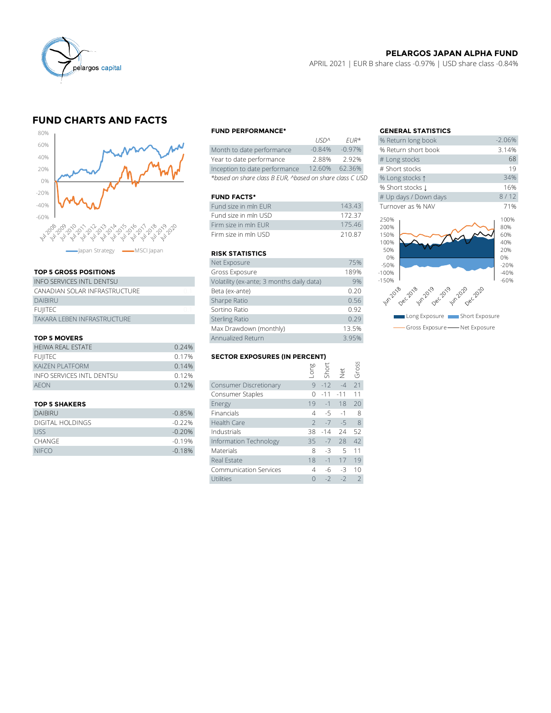

## **PELARGOS JAPAN ALPHA FUND**

APRIL 2021 | EUR B share class -0.97% | USD share class -0.84%

# **FUND CHARTS AND FACTS**



### **TOP 5 GROSS POSITIONS**

| apan Strategy - MSCI Japan       |                | <b>RISK STATIS</b> |
|----------------------------------|----------------|--------------------|
|                                  |                | Net Exposure       |
| <b>TOP 5 GROSS POSITIONS</b>     |                | Gross Exposu       |
| <b>INFO SERVICES INTL DENTSU</b> |                | Volatility (ex-ar  |
| CANADIAN SOLAR INFRASTRUCTURE    | 01             | Beta (ex-ante)     |
| <b>DAIBIRU</b>                   |                | Sharpe Ratio       |
| <b>FUIITEC</b>                   | 0 <sub>1</sub> | Sortino Ratio      |
| TAKARA LEBEN INFRASTRUCTURE      |                | Sterling Ratio     |
|                                  |                | Max Drawdow        |
|                                  |                |                    |

#### **TOP 5 MOVERS**

|                           |                                      | Max Drawdown (monthly)        | 13.5% |          |                               |       |  |  |
|---------------------------|--------------------------------------|-------------------------------|-------|----------|-------------------------------|-------|--|--|
| <b>TOP 5 MOVERS</b>       |                                      | Annualized Return             |       |          |                               | 3.95% |  |  |
| <b>HEIWA REAL ESTATE</b>  | 0.24%                                |                               |       |          |                               |       |  |  |
| <b>FUIITEC</b>            | <b>SECTOR EXPOSURES (IN PERCENT)</b> |                               |       |          |                               |       |  |  |
| <b>KAIZEN PLATFORM</b>    | 0.14%                                |                               |       |          | Long<br>Short<br>Net<br>Gross |       |  |  |
| INFO SERVICES INTL DENTSU | 0.12%                                |                               |       |          |                               |       |  |  |
| <b>AFON</b>               | 0.12%                                | <b>Consumer Discretionary</b> |       | $9 - 12$ | $-\Delta$                     | $-21$ |  |  |
|                           |                                      | Consumer Staples              |       |          | $0 - 11 - 11$ 11              |       |  |  |
|                           |                                      |                               |       |          |                               |       |  |  |

| <b>DAIBIRU</b>   | $-0.85%$ | Financials             | $4 \t -5 \t -1 \t 8$ |      |
|------------------|----------|------------------------|----------------------|------|
| DIGITAL HOLDINGS | $-0.22%$ | Health Care            | $2 - 7 - 5$ 8        |      |
| <b>USS</b>       | $-0.20%$ | Industrials            | 38 - 14 24 52        |      |
| <b>CHANGE</b>    | $-0.19%$ | Information Technology | $35 - 7$ 28 42       |      |
| <b>NIFCO</b>     | $-0.18%$ | <b>Materials</b>       | $-3$                 | 5 11 |
|                  |          |                        |                      |      |

#### **FUND PERFORMANCE\* GENERAL STATISTICS**

|                                                          | 1121            | F1IR     | <b>20 RELUITI JULIE DUUK</b> |
|----------------------------------------------------------|-----------------|----------|------------------------------|
| Month to date performance                                | $-0.84%$        | $-0.97%$ | % Return short book          |
| Year to date performance                                 | 2.88%           | 2.92%    | # Long stocks                |
| Inception to date performance                            | 12.60%          | 62.36%   | # Short stocks               |
| *based on share class B EUR, ^based on share class C USD | % Long stocks 1 |          |                              |

#### **FUND FACTS\***

| Fund size in mln EUR | 143.43 | Turnover as % NAV |
|----------------------|--------|-------------------|
| Fund size in mln USD | 17237  | 250%              |
| Firm size in mln FUR | 17546  | 200%              |
| Firm size in mln USD | 21087  | 150%              |

#### **RISK STATISTICS**

| Firm size in mln FUR                      | 175.46 |
|-------------------------------------------|--------|
| Firm size in mln USD                      | 210.87 |
|                                           |        |
| <b>RISK STATISTICS</b>                    |        |
| Net Exposure                              | 75%    |
| Gross Exposure                            | 189%   |
| Volatility (ex-ante; 3 months daily data) | 9%     |
| Beta (ex-ante)                            | 0.20   |
| Sharpe Ratio                              | 0.56   |
| Sortino Ratio                             | 0.92   |
| <b>Sterling Ratio</b>                     | 0.29   |
| Max Drawdown (monthly)                    | 13.5%  |
| Annualized Return                         | 3.95%  |

### **SECTOR EXPOSURES (IN PERCENT)**

| <b>TOP 5 MOVERS</b>              | Annualized Return | 3.95%                                |          |       |       |       |
|----------------------------------|-------------------|--------------------------------------|----------|-------|-------|-------|
| HEIWA REAL ESTATE                | 0.24%             |                                      |          |       |       |       |
| <b>FUIITEC</b>                   | 0.17%             | <b>SECTOR EXPOSURES (IN PERCENT)</b> |          |       |       |       |
| <b>KAIZEN PLATFORM</b>           | 0.14%             |                                      | suo-     | Short |       | Gross |
| <b>INFO SERVICES INTL DENTSU</b> | 0.12%             |                                      |          |       | Net   |       |
| AEON                             | 0.12%             | Consumer Discretionary               | 9        | $-12$ | $-4$  | 21    |
|                                  |                   | Consumer Staples                     |          | $-11$ | $-11$ |       |
| <b>TOP 5 SHAKERS</b>             |                   | Energy                               | 19       | $-1$  | 18    | 20    |
| <b>DAIBIRU</b>                   | $-0.85%$          | Financials                           | 4        | $-5$  | $-1$  | 8     |
| <b>DIGITAL HOLDINGS</b>          | $-0.22%$          | Health Care                          |          | $-7$  | $-5$  | 8     |
| <b>USS</b>                       | $-0.20%$          | Industrials                          | 38       | $-14$ | 24    | 52    |
| <b>CHANGE</b>                    | $-0.19%$          | Information Technology               | 35       | $-7$  | 28    | 42    |
| <b>NIFCO</b>                     | $-0.18%$          | <b>Materials</b>                     | 8        | -3    | 5     | 11    |
|                                  |                   | Real Estate                          | 18       | $-1$  | 17    | 19    |
|                                  |                   | <b>Communication Services</b>        | 4        | -6    | $-3$  | 10    |
|                                  |                   | Utilities                            | $\Omega$ | $-2$  | $-2$  | 2     |
|                                  |                   |                                      |          |       |       |       |

|          | <b>GENERAL STATISTICS</b>     |                                                                                                                                                   |  |  |
|----------|-------------------------------|---------------------------------------------------------------------------------------------------------------------------------------------------|--|--|
| $FIR*$   | % Return long book            | $-2.06%$                                                                                                                                          |  |  |
| $-0.97%$ | % Return short book           | 3.14%                                                                                                                                             |  |  |
| 2.92%    | # Long stocks                 | 68                                                                                                                                                |  |  |
| 62.36%   | # Short stocks                | 19                                                                                                                                                |  |  |
|          | % Long stocks 1               | 34%                                                                                                                                               |  |  |
|          | % Short stocks 1              | 16%                                                                                                                                               |  |  |
|          | # Up days / Down days         | 8/12                                                                                                                                              |  |  |
| 143.43   | Turnover as % NAV             | 71%                                                                                                                                               |  |  |
| 172.37   |                               | 100%                                                                                                                                              |  |  |
| 175.46   |                               | 80%                                                                                                                                               |  |  |
| 210.87   | 150%                          | 60%                                                                                                                                               |  |  |
|          | 100%                          | 40%                                                                                                                                               |  |  |
|          |                               | 20%<br>0%                                                                                                                                         |  |  |
| 75%      |                               | $-20%$                                                                                                                                            |  |  |
| 189%     | $-100%$                       | $-40%$                                                                                                                                            |  |  |
| 9%       | $-150%$                       | $-60%$                                                                                                                                            |  |  |
| 0.20     |                               |                                                                                                                                                   |  |  |
| 0.56     |                               |                                                                                                                                                   |  |  |
| 0.92     |                               |                                                                                                                                                   |  |  |
| 0.29     |                               |                                                                                                                                                   |  |  |
| 13.5%    | Gross Exposure - Net Exposure |                                                                                                                                                   |  |  |
|          |                               | on share class C USD<br>250%<br>200%<br>50%<br>0%<br>$-50%$<br>un2018 ec2018 w.2019 ec2019 p.2020 c220<br>Long Exposure <b>The Short Exposure</b> |  |  |